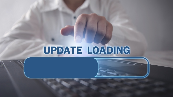# UPDATE LOADING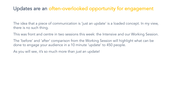## Updates are an often-overlooked opportunity for engagement

The idea that a piece of communication is 'just an update' is a loaded concept. In my view, there is no such thing.

This was front and centre in two sessions this week: the Intensive and our Working Session.

The 'before' and 'after' comparison from the Working Session will highlight what can be done to engage your audience in a 10 minute 'update' to 450 people.

As you will see, it's so much more than *just* an update!